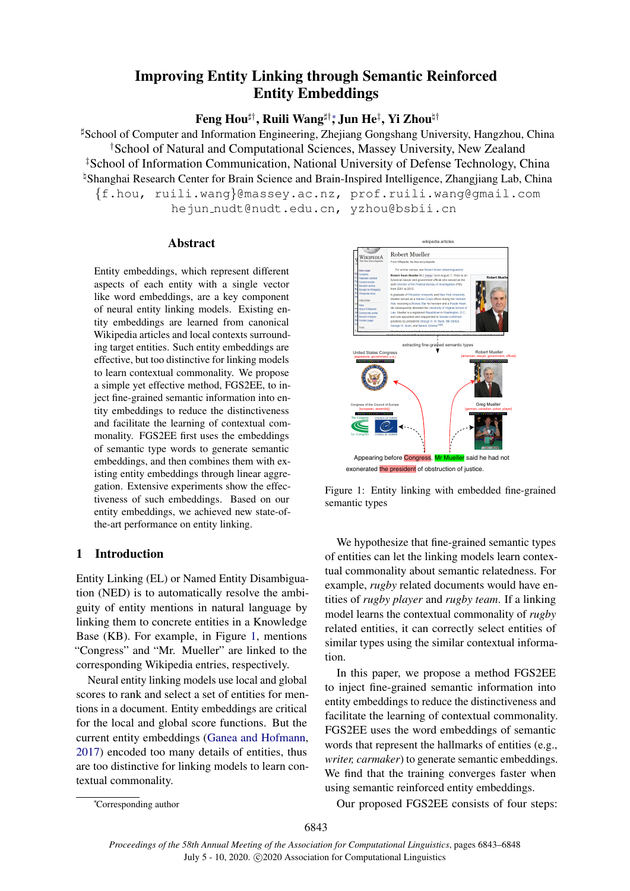# Improving Entity Linking through Semantic Reinforced Entity Embeddings

Feng Hou $^{\sharp\dagger}$ , Ruili Wang $^{\sharp\dagger *}$ , Jun He $^{\sharp}$ , Yi Zhou $^{\natural\dagger}$ 

 $\sharp$ School of Computer and Information Engineering, Zhejiang Gongshang University, Hangzhou, China †School of Natural and Computational Sciences, Massey University, New Zealand ‡School of Information Communication, National University of Defense Technology, China <sup>h</sup> Shanghai Research Center for Brain Science and Brain-Inspired Intelligence, Zhangjiang Lab, China {f.hou, ruili.wang}@massey.ac.nz, prof.ruili.wang@gmail.com hejun nudt@nudt.edu.cn, yzhou@bsbii.cn

#### Abstract

Entity embeddings, which represent different aspects of each entity with a single vector like word embeddings, are a key component of neural entity linking models. Existing entity embeddings are learned from canonical Wikipedia articles and local contexts surrounding target entities. Such entity embeddings are effective, but too distinctive for linking models to learn contextual commonality. We propose a simple yet effective method, FGS2EE, to inject fine-grained semantic information into entity embeddings to reduce the distinctiveness and facilitate the learning of contextual commonality. FGS2EE first uses the embeddings of semantic type words to generate semantic embeddings, and then combines them with existing entity embeddings through linear aggregation. Extensive experiments show the effectiveness of such embeddings. Based on our entity embeddings, we achieved new state-ofthe-art performance on entity linking.

## 1 Introduction

Entity Linking (EL) or Named Entity Disambiguation (NED) is to automatically resolve the ambiguity of entity mentions in natural language by linking them to concrete entities in a Knowledge Base (KB). For example, in Figure [1,](#page-0-0) mentions "Congress" and "Mr. Mueller" are linked to the corresponding Wikipedia entries, respectively.

Neural entity linking models use local and global scores to rank and select a set of entities for mentions in a document. Entity embeddings are critical for the local and global score functions. But the current entity embeddings [\(Ganea and Hofmann,](#page-5-0) [2017\)](#page-5-0) encoded too many details of entities, thus are too distinctive for linking models to learn contextual commonality.

<span id="page-0-0"></span>

Figure 1: Entity linking with embedded fine-grained semantic types

We hypothesize that fine-grained semantic types of entities can let the linking models learn contextual commonality about semantic relatedness. For example, *rugby* related documents would have entities of *rugby player* and *rugby team*. If a linking model learns the contextual commonality of *rugby* related entities, it can correctly select entities of similar types using the similar contextual information.

In this paper, we propose a method FGS2EE to inject fine-grained semantic information into entity embeddings to reduce the distinctiveness and facilitate the learning of contextual commonality. FGS2EE uses the word embeddings of semantic words that represent the hallmarks of entities (e.g., *writer, carmaker*) to generate semantic embeddings. We find that the training converges faster when using semantic reinforced entity embeddings.

Our proposed FGS2EE consists of four steps:

<sup>∗</sup>Corresponding author

<sup>6843</sup>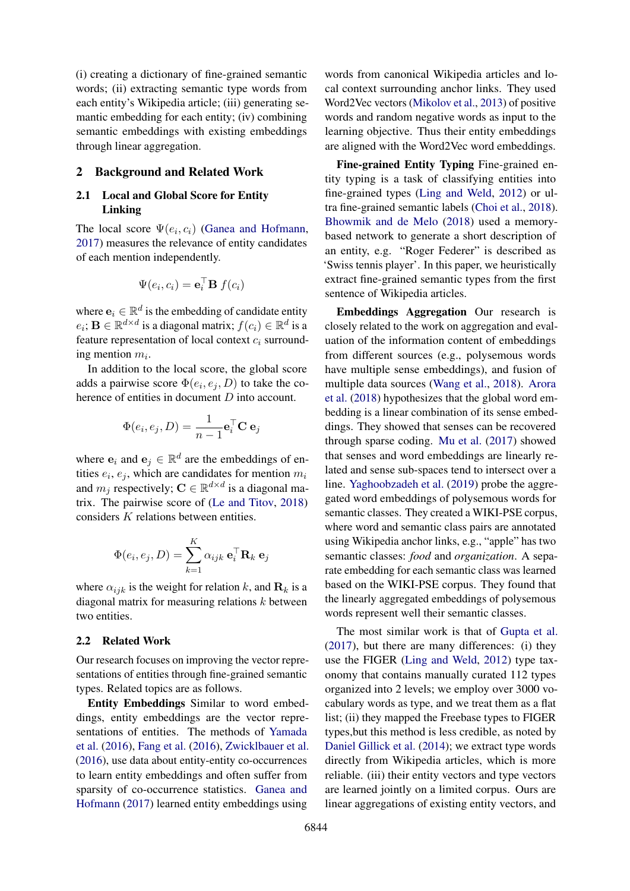(i) creating a dictionary of fine-grained semantic words; (ii) extracting semantic type words from each entity's Wikipedia article; (iii) generating semantic embedding for each entity; (iv) combining semantic embeddings with existing embeddings through linear aggregation.

#### 2 Background and Related Work

### 2.1 Local and Global Score for Entity Linking

The local score  $\Psi(e_i, c_i)$  [\(Ganea and Hofmann,](#page-5-0) [2017\)](#page-5-0) measures the relevance of entity candidates of each mention independently.

$$
\Psi(e_i, c_i) = \mathbf{e}_i^{\top} \mathbf{B} f(c_i)
$$

where  $\mathbf{e}_i \in \mathbb{R}^d$  is the embedding of candidate entity  $e_i; \mathbf{B} \in \mathbb{R}^{d \times d}$  is a diagonal matrix;  $f(c_i) \in \mathbb{R}^d$  is a feature representation of local context  $c_i$  surrounding mention  $m_i$ .

In addition to the local score, the global score adds a pairwise score  $\Phi(e_i, e_j, D)$  to take the coherence of entities in document D into account.

$$
\Phi(e_i, e_j, D) = \frac{1}{n-1} \mathbf{e}_i^{\top} \mathbf{C} \mathbf{e}_j
$$

where  $\mathbf{e}_i$  and  $\mathbf{e}_j \in \mathbb{R}^d$  are the embeddings of entities  $e_i, e_j$ , which are candidates for mention  $m_i$ and  $m_j$  respectively;  $C \in \mathbb{R}^{d \times d}$  is a diagonal matrix. The pairwise score of [\(Le and Titov,](#page-5-1) [2018\)](#page-5-1) considers K relations between entities.

$$
\Phi(e_i, e_j, D) = \sum_{k=1}^{K} \alpha_{ijk} \mathbf{e}_i^{\top} \mathbf{R}_k \mathbf{e}_j
$$

where  $\alpha_{ijk}$  is the weight for relation k, and  $\mathbf{R}_k$  is a diagonal matrix for measuring relations k between two entities.

#### 2.2 Related Work

Our research focuses on improving the vector representations of entities through fine-grained semantic types. Related topics are as follows.

Entity Embeddings Similar to word embeddings, entity embeddings are the vector representations of entities. The methods of [Yamada](#page-5-2) [et al.](#page-5-2) [\(2016\)](#page-5-2), [Fang et al.](#page-5-3) [\(2016\)](#page-5-3), [Zwicklbauer et al.](#page-5-4) [\(2016\)](#page-5-4), use data about entity-entity co-occurrences to learn entity embeddings and often suffer from sparsity of co-occurrence statistics. [Ganea and](#page-5-0) [Hofmann](#page-5-0) [\(2017\)](#page-5-0) learned entity embeddings using

words from canonical Wikipedia articles and local context surrounding anchor links. They used Word2Vec vectors [\(Mikolov et al.,](#page-5-5) [2013\)](#page-5-5) of positive words and random negative words as input to the learning objective. Thus their entity embeddings are aligned with the Word2Vec word embeddings.

Fine-grained Entity Typing Fine-grained entity typing is a task of classifying entities into fine-grained types [\(Ling and Weld,](#page-5-6) [2012\)](#page-5-6) or ultra fine-grained semantic labels [\(Choi et al.,](#page-4-0) [2018\)](#page-4-0). [Bhowmik and de Melo](#page-4-1) [\(2018\)](#page-4-1) used a memorybased network to generate a short description of an entity, e.g. "Roger Federer" is described as 'Swiss tennis player'. In this paper, we heuristically extract fine-grained semantic types from the first sentence of Wikipedia articles.

Embeddings Aggregation Our research is closely related to the work on aggregation and evaluation of the information content of embeddings from different sources (e.g., polysemous words have multiple sense embeddings), and fusion of multiple data sources [\(Wang et al.,](#page-5-7) [2018\)](#page-5-7). [Arora](#page-4-2) [et al.](#page-4-2) [\(2018\)](#page-4-2) hypothesizes that the global word embedding is a linear combination of its sense embeddings. They showed that senses can be recovered through sparse coding. [Mu et al.](#page-5-8) [\(2017\)](#page-5-8) showed that senses and word embeddings are linearly related and sense sub-spaces tend to intersect over a line. [Yaghoobzadeh et al.](#page-5-9) [\(2019\)](#page-5-9) probe the aggregated word embeddings of polysemous words for semantic classes. They created a WIKI-PSE corpus, where word and semantic class pairs are annotated using Wikipedia anchor links, e.g., "apple" has two semantic classes: *food* and *organization*. A separate embedding for each semantic class was learned based on the WIKI-PSE corpus. They found that the linearly aggregated embeddings of polysemous words represent well their semantic classes.

The most similar work is that of [Gupta et al.](#page-5-10) [\(2017\)](#page-5-10), but there are many differences: (i) they use the FIGER [\(Ling and Weld,](#page-5-6) [2012\)](#page-5-6) type taxonomy that contains manually curated 112 types organized into 2 levels; we employ over 3000 vocabulary words as type, and we treat them as a flat list; (ii) they mapped the Freebase types to FIGER types,but this method is less credible, as noted by [Daniel Gillick et al.](#page-4-3) [\(2014\)](#page-4-3); we extract type words directly from Wikipedia articles, which is more reliable. (iii) their entity vectors and type vectors are learned jointly on a limited corpus. Ours are linear aggregations of existing entity vectors, and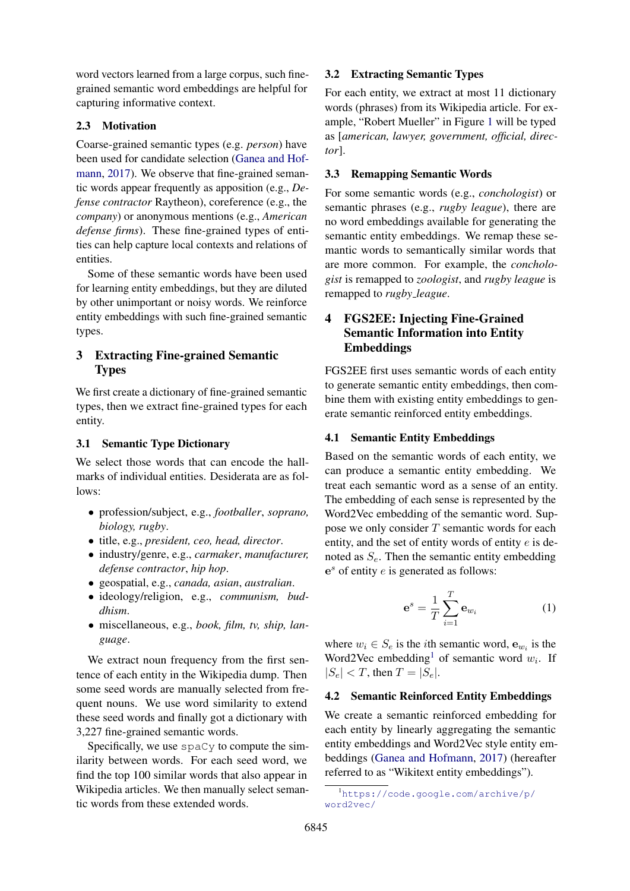word vectors learned from a large corpus, such finegrained semantic word embeddings are helpful for capturing informative context.

#### 2.3 Motivation

Coarse-grained semantic types (e.g. *person*) have been used for candidate selection [\(Ganea and Hof](#page-5-0)[mann,](#page-5-0) [2017\)](#page-5-0). We observe that fine-grained semantic words appear frequently as apposition (e.g., *Defense contractor* Raytheon), coreference (e.g., the *company*) or anonymous mentions (e.g., *American defense firms*). These fine-grained types of entities can help capture local contexts and relations of entities.

Some of these semantic words have been used for learning entity embeddings, but they are diluted by other unimportant or noisy words. We reinforce entity embeddings with such fine-grained semantic types.

## 3 Extracting Fine-grained Semantic Types

We first create a dictionary of fine-grained semantic types, then we extract fine-grained types for each entity.

#### 3.1 Semantic Type Dictionary

We select those words that can encode the hallmarks of individual entities. Desiderata are as follows:

- profession/subject, e.g., *footballer*, *soprano, biology, rugby*.
- title, e.g., *president, ceo, head, director*.
- industry/genre, e.g., *carmaker*, *manufacturer, defense contractor*, *hip hop*.
- geospatial, e.g., *canada, asian*, *australian*.
- ideology/religion, e.g., *communism, buddhism*.
- miscellaneous, e.g., *book, film, tv, ship, language*.

We extract noun frequency from the first sentence of each entity in the Wikipedia dump. Then some seed words are manually selected from frequent nouns. We use word similarity to extend these seed words and finally got a dictionary with 3,227 fine-grained semantic words.

Specifically, we use spaCy to compute the similarity between words. For each seed word, we find the top 100 similar words that also appear in Wikipedia articles. We then manually select semantic words from these extended words.

### 3.2 Extracting Semantic Types

For each entity, we extract at most 11 dictionary words (phrases) from its Wikipedia article. For example, "Robert Mueller" in Figure [1](#page-0-0) will be typed as [*american, lawyer, government, official, director*].

### 3.3 Remapping Semantic Words

For some semantic words (e.g., *conchologist*) or semantic phrases (e.g., *rugby league*), there are no word embeddings available for generating the semantic entity embeddings. We remap these semantic words to semantically similar words that are more common. For example, the *conchologist* is remapped to *zoologist*, and *rugby league* is remapped to *rugby league*.

## 4 FGS2EE: Injecting Fine-Grained Semantic Information into Entity Embeddings

FGS2EE first uses semantic words of each entity to generate semantic entity embeddings, then combine them with existing entity embeddings to generate semantic reinforced entity embeddings.

#### 4.1 Semantic Entity Embeddings

Based on the semantic words of each entity, we can produce a semantic entity embedding. We treat each semantic word as a sense of an entity. The embedding of each sense is represented by the Word2Vec embedding of the semantic word. Suppose we only consider  $T$  semantic words for each entity, and the set of entity words of entity  $e$  is denoted as  $S_e$ . Then the semantic entity embedding  $e<sup>s</sup>$  of entity  $e$  is generated as follows:

<span id="page-2-1"></span>
$$
\mathbf{e}^s = \frac{1}{T} \sum_{i=1}^T \mathbf{e}_{w_i} \tag{1}
$$

where  $w_i \in S_e$  is the *i*th semantic word,  $\mathbf{e}_{w_i}$  is the Word2Vec embedding<sup>[1](#page-2-0)</sup> of semantic word  $w_i$ . If  $|S_e| < T$ , then  $T = |S_e|$ .

#### 4.2 Semantic Reinforced Entity Embeddings

We create a semantic reinforced embedding for each entity by linearly aggregating the semantic entity embeddings and Word2Vec style entity embeddings [\(Ganea and Hofmann,](#page-5-0) [2017\)](#page-5-0) (hereafter referred to as "Wikitext entity embeddings").

<span id="page-2-0"></span><sup>1</sup>[https://code.google.com/archive/p/](https://code.google.com/archive/p/word2vec/) [word2vec/](https://code.google.com/archive/p/word2vec/)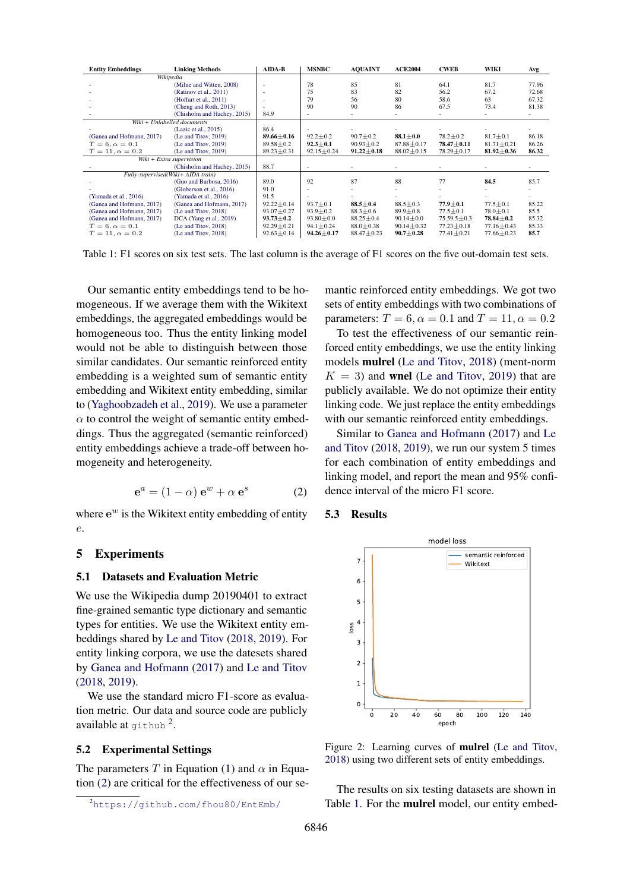<span id="page-3-2"></span>

| <b>Entity Embeddings</b>           | <b>Linking Methods</b>      | AIDA-B                   | <b>MSNBC</b>     | <b>AQUAINT</b>   | <b>ACE2004</b>   | <b>CWEB</b>       | WIKI             | Avg   |
|------------------------------------|-----------------------------|--------------------------|------------------|------------------|------------------|-------------------|------------------|-------|
| Wikipedia                          |                             |                          |                  |                  |                  |                   |                  |       |
|                                    | (Milne and Witten, 2008)    | ٠                        | 78               | 85               | 81               | 64.1              | 81.7             | 77.96 |
|                                    | (Ratinov et al., 2011)      | $\overline{\phantom{a}}$ | 75               | 83               | 82               | 56.2              | 67.2             | 72.68 |
|                                    | (Hoffart et al., 2011)      |                          | 79               | 56               | 80               | 58.6              | 63               | 67.32 |
|                                    | (Cheng and Roth, 2013)      |                          | 90               | 90               | 86               | 67.5              | 73.4             | 81.38 |
|                                    | (Chisholm and Hachey, 2015) | 84.9                     | ٠                |                  |                  |                   |                  |       |
| Wiki + Unlabelled documents        |                             |                          |                  |                  |                  |                   |                  |       |
|                                    | (Lazic et al., 2015)        | 86.4                     |                  |                  |                  |                   |                  |       |
| (Ganea and Hofmann, 2017)          | (Le and Titov, 2019)        | $89.66 \pm 0.16$         | $92.2 \pm 0.2$   | $90.7 \pm 0.2$   | $88.1 \pm 0.0$   | $78.2 \pm 0.2$    | $81.7 \pm 0.1$   | 86.18 |
| $T = 6, \alpha = 0.1$              | (Le and Titov, 2019)        | $89.58 \pm 0.2$          | $92.3 \pm 0.1$   | $90.93 \pm 0.2$  | $87.88 \pm 0.17$ | $78.47 \pm 0.11$  | $81.71 \pm 0.21$ | 86.26 |
| $T = 11, \alpha = 0.2$             | (Le and Titov, 2019)        | $89.23 \pm 0.31$         | $92.15 \pm 0.24$ | $91.22 \pm 0.18$ | $88.02 \pm 0.15$ | 78.29±0.17        | $81.92 \pm 0.36$ | 86.32 |
| Wiki + Extra supervision           |                             |                          |                  |                  |                  |                   |                  |       |
|                                    | (Chisholm and Hachey, 2015) | 88.7                     | ٠                |                  |                  |                   |                  |       |
| Fully-supervised(Wiki+ AIDA train) |                             |                          |                  |                  |                  |                   |                  |       |
|                                    | (Guo and Barbosa, 2016)     | 89.0                     | 92               | 87               | 88               | 77                | 84.5             | 85.7  |
|                                    | (Globerson et al., 2016)    | 91.0                     |                  |                  |                  |                   |                  |       |
| (Yamada et al., 2016)              | (Yamada et al., 2016)       | 91.5                     |                  |                  |                  |                   |                  |       |
| (Ganea and Hofmann, 2017)          | (Ganea and Hofmann, 2017)   | $92.22 \pm 0.14$         | $93.7 + 0.1$     | $88.5 + 0.4$     | $88.5 + 0.3$     | $77.9 \pm 0.1$    | $77.5 \pm 0.1$   | 85.22 |
| (Ganea and Hofmann, 2017)          | (Le and Titov, 2018)        | $93.07 \pm 0.27$         | $93.9 \pm 0.2$   | $88.3 \pm 0.6$   | $89.9 \pm 0.8$   | $77.5 \pm 0.1$    | $78.0 \pm 0.1$   | 85.5  |
| (Ganea and Hofmann, 2017)          | DCA (Yang et al., 2019)     | $93.73 \pm 0.2$          | $93.80 \pm 0.0$  | $88.25 + 0.4$    | $90.14 \pm 0.0$  | $75.59.5 \pm 0.3$ | $78.84 \pm 0.2$  | 85.32 |
| $T=6, \alpha=0.1$                  | (Le and Titov, 2018)        | $92.29 + 0.21$           | $94.1 \pm 0.24$  | $88.0 \pm 0.38$  | $90.14 \pm 0.32$ | $77.23 \pm 0.18$  | $77.16 \pm 0.43$ | 85.33 |
| $T = 11, \alpha = 0.2$             | (Le and Titov, 2018)        | $92.63 \pm 0.14$         | $94.26 \pm 0.17$ | $88.47 \pm 0.23$ | $90.7 \pm 0.28$  | $77.41 \pm 0.21$  | $77.66 \pm 0.23$ | 85.7  |

Table 1: F1 scores on six test sets. The last column is the average of F1 scores on the five out-domain test sets.

Our semantic entity embeddings tend to be homogeneous. If we average them with the Wikitext embeddings, the aggregated embeddings would be homogeneous too. Thus the entity linking model would not be able to distinguish between those similar candidates. Our semantic reinforced entity embedding is a weighted sum of semantic entity embedding and Wikitext entity embedding, similar to [\(Yaghoobzadeh et al.,](#page-5-9) [2019\)](#page-5-9). We use a parameter  $\alpha$  to control the weight of semantic entity embeddings. Thus the aggregated (semantic reinforced) entity embeddings achieve a trade-off between homogeneity and heterogeneity.

$$
\mathbf{e}^a = (1 - \alpha) \mathbf{e}^w + \alpha \mathbf{e}^s \tag{2}
$$

<span id="page-3-1"></span>where  $e^w$  is the Wikitext entity embedding of entity e.

## 5 Experiments

#### 5.1 Datasets and Evaluation Metric

We use the Wikipedia dump 20190401 to extract fine-grained semantic type dictionary and semantic types for entities. We use the Wikitext entity embeddings shared by [Le and Titov](#page-5-1) [\(2018,](#page-5-1) [2019\)](#page-5-15). For entity linking corpora, we use the datesets shared by [Ganea and Hofmann](#page-5-0) [\(2017\)](#page-5-0) and [Le and Titov](#page-5-1) [\(2018,](#page-5-1) [2019\)](#page-5-15).

We use the standard micro F1-score as evaluation metric. Our data and source code are publicly available at github<sup>[2](#page-3-0)</sup>.

### 5.2 Experimental Settings

The parameters T in Equation [\(1\)](#page-2-1) and  $\alpha$  in Equation [\(2\)](#page-3-1) are critical for the effectiveness of our se-

mantic reinforced entity embeddings. We got two sets of entity embeddings with two combinations of parameters:  $T = 6$ ,  $\alpha = 0.1$  and  $T = 11$ ,  $\alpha = 0.2$ 

To test the effectiveness of our semantic reinforced entity embeddings, we use the entity linking models mulrel [\(Le and Titov,](#page-5-1) [2018\)](#page-5-1) (ment-norm  $K = 3$ ) and wnel [\(Le and Titov,](#page-5-15) [2019\)](#page-5-15) that are publicly available. We do not optimize their entity linking code. We just replace the entity embeddings with our semantic reinforced entity embeddings.

Similar to [Ganea and Hofmann](#page-5-0) [\(2017\)](#page-5-0) and [Le](#page-5-1) [and Titov](#page-5-1) [\(2018,](#page-5-1) [2019\)](#page-5-15), we run our system 5 times for each combination of entity embeddings and linking model, and report the mean and 95% confidence interval of the micro F1 score.

#### 5.3 Results

<span id="page-3-3"></span>

Figure 2: Learning curves of mulrel [\(Le and Titov,](#page-5-1) [2018\)](#page-5-1) using two different sets of entity embeddings.

The results on six testing datasets are shown in Table [1.](#page-3-2) For the mulrel model, our entity embed-

<span id="page-3-0"></span><sup>2</sup><https://github.com/fhou80/EntEmb/>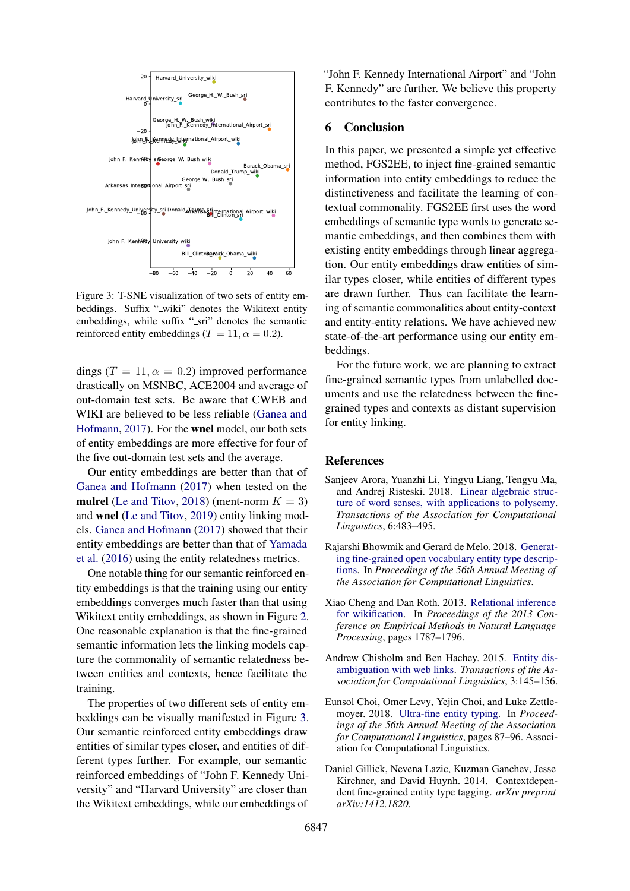<span id="page-4-6"></span>

Figure 3: T-SNE visualization of two sets of entity embeddings. Suffix "\_wiki" denotes the Wikitext entity embeddings, while suffix "\_sri" denotes the semantic reinforced entity embeddings ( $T = 11$ ,  $\alpha = 0.2$ ).

dings ( $T = 11, \alpha = 0.2$ ) improved performance drastically on MSNBC, ACE2004 and average of out-domain test sets. Be aware that CWEB and WIKI are believed to be less reliable [\(Ganea and](#page-5-0) [Hofmann,](#page-5-0) [2017\)](#page-5-0). For the wnel model, our both sets of entity embeddings are more effective for four of the five out-domain test sets and the average.

Our entity embeddings are better than that of [Ganea and Hofmann](#page-5-0) [\(2017\)](#page-5-0) when tested on the mulrel [\(Le and Titov,](#page-5-1) [2018\)](#page-5-1) (ment-norm  $K = 3$ ) and wnel [\(Le and Titov,](#page-5-15) [2019\)](#page-5-15) entity linking models. [Ganea and Hofmann](#page-5-0) [\(2017\)](#page-5-0) showed that their entity embeddings are better than that of [Yamada](#page-5-2) [et al.](#page-5-2) [\(2016\)](#page-5-2) using the entity relatedness metrics.

One notable thing for our semantic reinforced entity embeddings is that the training using our entity embeddings converges much faster than that using Wikitext entity embeddings, as shown in Figure [2.](#page-3-3) One reasonable explanation is that the fine-grained semantic information lets the linking models capture the commonality of semantic relatedness between entities and contexts, hence facilitate the training.

The properties of two different sets of entity embeddings can be visually manifested in Figure [3.](#page-4-6) Our semantic reinforced entity embeddings draw entities of similar types closer, and entities of different types further. For example, our semantic reinforced embeddings of "John F. Kennedy University" and "Harvard University" are closer than the Wikitext embeddings, while our embeddings of

"John F. Kennedy International Airport" and "John F. Kennedy" are further. We believe this property contributes to the faster convergence.

#### 6 Conclusion

In this paper, we presented a simple yet effective method, FGS2EE, to inject fine-grained semantic information into entity embeddings to reduce the distinctiveness and facilitate the learning of contextual commonality. FGS2EE first uses the word embeddings of semantic type words to generate semantic embeddings, and then combines them with existing entity embeddings through linear aggregation. Our entity embeddings draw entities of similar types closer, while entities of different types are drawn further. Thus can facilitate the learning of semantic commonalities about entity-context and entity-entity relations. We have achieved new state-of-the-art performance using our entity embeddings.

For the future work, we are planning to extract fine-grained semantic types from unlabelled documents and use the relatedness between the finegrained types and contexts as distant supervision for entity linking.

#### References

- <span id="page-4-2"></span>Sanjeev Arora, Yuanzhi Li, Yingyu Liang, Tengyu Ma, and Andrej Risteski. 2018. [Linear algebraic struc](https://doi.org/10.1162/tacl_a_00034)[ture of word senses, with applications to polysemy.](https://doi.org/10.1162/tacl_a_00034) *Transactions of the Association for Computational Linguistics*, 6:483–495.
- <span id="page-4-1"></span>Rajarshi Bhowmik and Gerard de Melo. 2018. [Generat](https://doi.org/10.18653/v1/P18-1081)[ing fine-grained open vocabulary entity type descrip](https://doi.org/10.18653/v1/P18-1081)[tions.](https://doi.org/10.18653/v1/P18-1081) In *Proceedings of the 56th Annual Meeting of the Association for Computational Linguistics*.
- <span id="page-4-4"></span>Xiao Cheng and Dan Roth. 2013. [Relational inference](https://www.aclweb.org/anthology/D13-1184) [for wikification.](https://www.aclweb.org/anthology/D13-1184) In *Proceedings of the 2013 Conference on Empirical Methods in Natural Language Processing*, pages 1787–1796.
- <span id="page-4-5"></span>Andrew Chisholm and Ben Hachey. 2015. [Entity dis](https://doi.org/10.1162/tacl_a_00129)[ambiguation with web links.](https://doi.org/10.1162/tacl_a_00129) *Transactions of the Association for Computational Linguistics*, 3:145–156.
- <span id="page-4-0"></span>Eunsol Choi, Omer Levy, Yejin Choi, and Luke Zettlemoyer. 2018. [Ultra-fine entity typing.](https://doi.org/10.18653/v1/P18-1009) In *Proceedings of the 56th Annual Meeting of the Association for Computational Linguistics*, pages 87–96. Association for Computational Linguistics.
- <span id="page-4-3"></span>Daniel Gillick, Nevena Lazic, Kuzman Ganchev, Jesse Kirchner, and David Huynh. 2014. Contextdependent fine-grained entity type tagging. *arXiv preprint arXiv:1412.1820*.